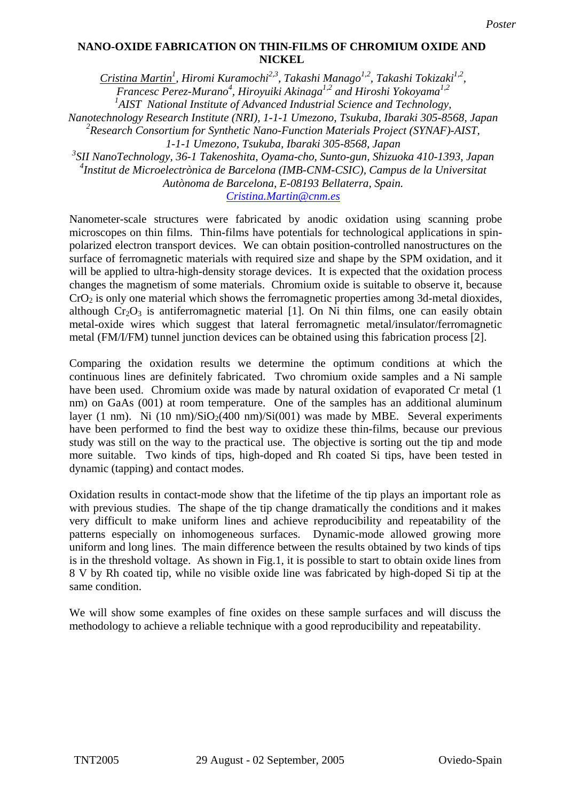## NICKEL NANO-OXIDE FABRICATION ON THIN-FILMS OF CHROMIUM OXIDE AND THE **NANO-OXIDE FABRICATION ON THIN-FILMS OF CHROMIUM OXIDE AND NICKEL**

*Cristina Martin1 , Hiromi Kuramochi2,3, Takashi Manago1,2, Takashi Tokizaki1,2, Francesc Perez-Murano4 , Hiroyuiki Akinaga1,2 and Hiroshi Yokoyama1,2* <sup>1</sup>AIST National Institute of Advanced Industrial Science and Technology,

*Nanotechnology Research Institute (NRI), 1-1-1 Umezono, Tsukuba, Ibaraki 305-8568, Japan* 

*2 Research Consortium for Synthetic Nano-Function Materials Project (SYNAF)-AIST,* 

*1-1-1 Umezono, Tsukuba, Ibaraki 305-8568, Japan*

*3 SII NanoTechnology, 36-1 Takenoshita, Oyama-cho, Sunto-gun, Shizuoka 410-1393, Japan* 

*4 Institut de Microelectrònica de Barcelona (IMB-CNM-CSIC), Campus de la Universitat* 

*Autònoma de Barcelona, E-08193 Bellaterra, Spain.* 

## *Cristina.Martin@cnm.es*

Nanometer-scale structures were fabricated by anodic oxidation using scanning probe microscopes on thin films. Thin-films have potentials for technological applications in spinpolarized electron transport devices. We can obtain position-controlled nanostructures on the surface of ferromagnetic materials with required size and shape by the SPM oxidation, and it will be applied to ultra-high-density storage devices. It is expected that the oxidation process changes the magnetism of some materials. Chromium oxide is suitable to observe it, because  $CrO<sub>2</sub>$  is only one material which shows the ferromagnetic properties among 3d-metal dioxides, although  $Cr_2O_3$  is antiferromagnetic material [1]. On Ni thin films, one can easily obtain metal-oxide wires which suggest that lateral ferromagnetic metal/insulator/ferromagnetic metal (FM/I/FM) tunnel junction devices can be obtained using this fabrication process [2].

Comparing the oxidation results we determine the optimum conditions at which the continuous lines are definitely fabricated. Two chromium oxide samples and a Ni sample have been used. Chromium oxide was made by natural oxidation of evaporated Cr metal (1 nm) on GaAs (001) at room temperature. One of the samples has an additional aluminum layer (1 nm). Ni (10 nm)/SiO<sub>2</sub>(400 nm)/Si(001) was made by MBE. Several experiments have been performed to find the best way to oxidize these thin-films, because our previous study was still on the way to the practical use. The objective is sorting out the tip and mode more suitable. Two kinds of tips, high-doped and Rh coated Si tips, have been tested in dynamic (tapping) and contact modes.

Oxidation results in contact-mode show that the lifetime of the tip plays an important role as with previous studies. The shape of the tip change dramatically the conditions and it makes very difficult to make uniform lines and achieve reproducibility and repeatability of the patterns especially on inhomogeneous surfaces. Dynamic-mode allowed growing more uniform and long lines. The main difference between the results obtained by two kinds of tips is in the threshold voltage. As shown in Fig.1, it is possible to start to obtain oxide lines from 8 V by Rh coated tip, while no visible oxide line was fabricated by high-doped Si tip at the same condition.

We will show some examples of fine oxides on these sample surfaces and will discuss the methodology to achieve a reliable technique with a good reproducibility and repeatability.